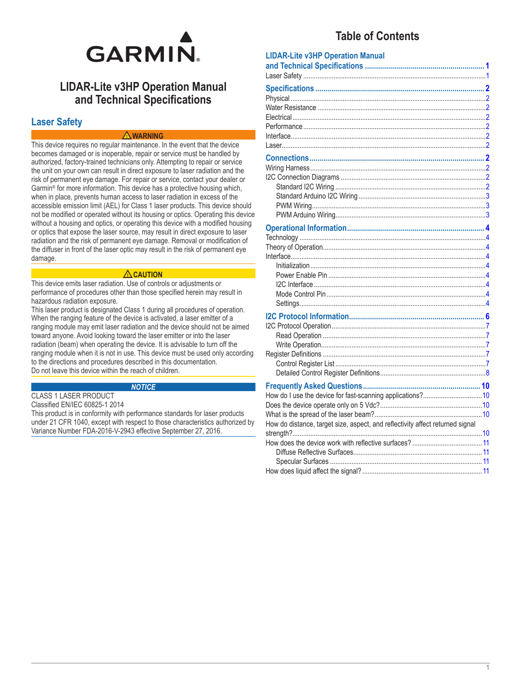

## **LIDAR-Lite v3HP Operation Manual** and Technical Specifications

## **Laser Safety**

#### $\triangle$  WARNING

This device requires no regular maintenance. In the event that the device becomes damaged or is inoperable, repair or service must be handled by authorized, factory-trained technicians only. Attempting to repair or service the unit on your own can result in direct exposure to laser radiation and the risk of permanent eye damage. For repair or service, contact your dealer or Garmin<sup>®</sup> for more information. This device has a protective housing which, when in place, prevents human access to laser radiation in excess of the accessible emission limit (AEL) for Class 1 laser products. This device should not be modified or operated without its housing or optics. Operating this device without a housing and optics, or operating this device with a modified housing or optics that expose the laser source, may result in direct exposure to laser radiation and the risk of permanent eye damage. Removal or modification of the diffuser in front of the laser optic may result in the risk of permanent eve damage.

#### $\triangle$  CAUTION

This device emits laser radiation. Use of controls or adjustments or performance of procedures other than those specified herein may result in hazardous radiation exposure.

This laser product is designated Class 1 during all procedures of operation. When the ranging feature of the device is activated, a laser emitter of a ranging module may emit laser radiation and the device should not be aimed toward anyone. Avoid looking toward the laser emitter or into the laser radiation (beam) when operating the device. It is advisable to turn off the ranging module when it is not in use. This device must be used only according to the directions and procedures described in this documentation. Do not leave this device within the reach of children.

#### **NOTICE**

**CLASS 1 LASER PRODUCT** 

Classified EN/IEC 60825-1 2014

This product is in conformity with performance standards for laser products under 21 CFR 1040, except with respect to those characteristics authorized by Variance Number FDA-2016-V-2943 effective September 27, 2016.

## **Table of Contents**

| <b>LIDAR-Lite v3HP Operation Manual</b>                                       |  |
|-------------------------------------------------------------------------------|--|
|                                                                               |  |
|                                                                               |  |
|                                                                               |  |
|                                                                               |  |
|                                                                               |  |
|                                                                               |  |
|                                                                               |  |
|                                                                               |  |
|                                                                               |  |
|                                                                               |  |
|                                                                               |  |
|                                                                               |  |
|                                                                               |  |
|                                                                               |  |
|                                                                               |  |
|                                                                               |  |
|                                                                               |  |
|                                                                               |  |
|                                                                               |  |
|                                                                               |  |
|                                                                               |  |
|                                                                               |  |
|                                                                               |  |
|                                                                               |  |
|                                                                               |  |
|                                                                               |  |
|                                                                               |  |
|                                                                               |  |
|                                                                               |  |
|                                                                               |  |
|                                                                               |  |
|                                                                               |  |
|                                                                               |  |
| How do I use the device for fast-scanning applications?10                     |  |
|                                                                               |  |
| How do distance, target size, aspect, and reflectivity affect returned signal |  |
|                                                                               |  |
|                                                                               |  |
|                                                                               |  |
|                                                                               |  |
|                                                                               |  |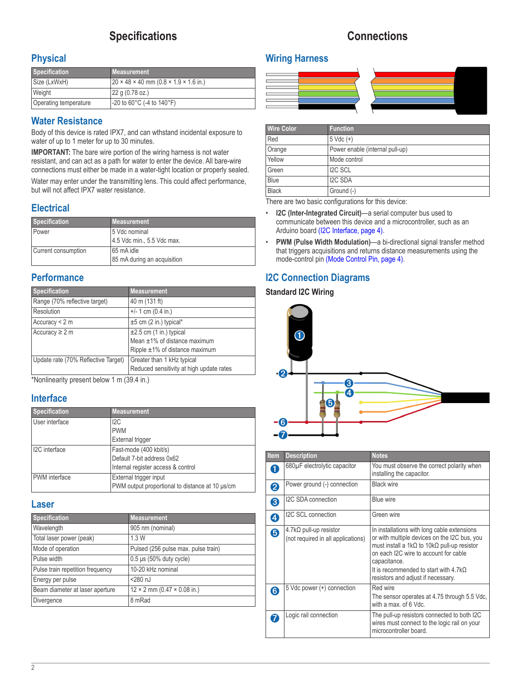## **Specifications**

## **Connections**

## <span id="page-1-0"></span>**Physical**

| <b>Specification</b>  | Measurement                                                   |
|-----------------------|---------------------------------------------------------------|
| Size (LxWxH)          | $20 \times 48 \times 40$ mm $(0.8 \times 1.9 \times 1.6$ in.) |
| Weight                | 22 g (0.78 oz.)                                               |
| Operating temperature | -20 to 60°C (-4 to 140°F)                                     |

## **Water Resistance**

Body of this device is rated IPX7, and can wthstand incidental exposure to water of up to 1 meter for up to 30 minutes.

**IMPORTANT:** The bare wire portion of the wiring harness is not water resistant, and can act as a path for water to enter the device. All bare-wire connections must either be made in a water-tight location or properly sealed.

Water may enter under the transmitting lens. This could affect performance, but will not affect IPX7 water resistance.

## **Electrical**

| <b>Specification</b> | <b>Measurement</b>          |
|----------------------|-----------------------------|
| Power                | 5 Vdc nominal               |
|                      | 4.5 Vdc min., 5.5 Vdc max.  |
| Current consumption  | l 65 mA idle                |
|                      | 85 mA during an acquisition |

## **Performance**

| <b>Specification</b>                | <b>Measurement</b>                       |
|-------------------------------------|------------------------------------------|
| Range (70% reflective target)       | 40 m (131 ft)                            |
| Resolution                          | $+/- 1$ cm (0.4 in.)                     |
| Accuracy $<$ 2 m                    | $±5$ cm (2 in.) typical*                 |
| Accuracy $\geq 2$ m                 | $\pm 2.5$ cm (1 in.) typical             |
|                                     | Mean ±1% of distance maximum             |
|                                     | Ripple ±1% of distance maximum           |
| Update rate (70% Reflective Target) | Greater than 1 kHz typical               |
|                                     | Reduced sensitivity at high update rates |

\*Nonlinearity present below 1 m (39.4 in.)

## **Interface**

| <b>Specification</b>       | <b>Measurement</b>                              |
|----------------------------|-------------------------------------------------|
| User interface             | 12C                                             |
|                            | <b>PWM</b>                                      |
|                            | External trigger                                |
| I <sub>2</sub> C interface | Fast-mode (400 kbit/s)                          |
|                            | Default 7-bit address 0x62                      |
|                            | Internal register access & control              |
| <b>PWM</b> interface       | External trigger input                          |
|                            | PWM output proportional to distance at 10 µs/cm |

#### **Laser**

| <b>Specification</b>             | <b>Measurement</b>                        |
|----------------------------------|-------------------------------------------|
| Wavelength                       | 905 nm (nominal)                          |
| Total laser power (peak)         | 1.3W                                      |
| Mode of operation                | Pulsed (256 pulse max. pulse train)       |
| Pulse width                      | $0.5 \,\mu s$ (50% duty cycle)            |
| Pulse train repetition frequency | 10-20 kHz nominal                         |
| Energy per pulse                 | $<$ 280 $nJ$                              |
| Beam diameter at laser aperture  | $12 \times 2$ mm (0.47 $\times$ 0.08 in.) |
| Divergence                       | 8 mRad                                    |

## **Wiring Harness**



| <b>Wire Color</b> | <b>Function</b>                 |
|-------------------|---------------------------------|
| Red               | $5 \text{ Vdc } (+)$            |
| Orange            | Power enable (internal pull-up) |
| Yellow            | Mode control                    |
| Green             | <b>I2C SCL</b>                  |
| Blue              | <b>I2C SDA</b>                  |
| <b>Black</b>      | Ground (-)                      |

There are two basic configurations for this device:

- **I2C (Inter-Integrated Circuit)**—a serial computer bus used to communicate between this device and a microcontroller, such as an Arduino board [\(I2C Interface, page](#page-3-1) 4).
- **PWM (Pulse Width Modulation)**—a bi-directional signal transfer method that triggers acquisitions and returns distance measurements using the mode-control pin [\(Mode Control Pin, page](#page-3-2) 4).

## **I2C Connection Diagrams**

### **Standard I2C Wiring**



| <b>Item</b> | <b>Description</b>                                           | <b>Notes</b>                                                                                                                                                                                                                                                                                                     |
|-------------|--------------------------------------------------------------|------------------------------------------------------------------------------------------------------------------------------------------------------------------------------------------------------------------------------------------------------------------------------------------------------------------|
| 1           | 680µF electrolytic capacitor                                 | You must observe the correct polarity when<br>installing the capacitor.                                                                                                                                                                                                                                          |
| 2           | Power ground (-) connection                                  | <b>Black wire</b>                                                                                                                                                                                                                                                                                                |
| 8           | I2C SDA connection                                           | Blue wire                                                                                                                                                                                                                                                                                                        |
| 4           | I2C SCL connection                                           | Green wire                                                                                                                                                                                                                                                                                                       |
| 6           | 4.7kΩ pull-up resistor<br>(not required in all applications) | In installations with long cable extensions<br>or with multiple devices on the I2C bus, you<br>must install a 1k $\Omega$ to 10k $\Omega$ pull-up resistor<br>on each I2C wire to account for cable<br>capacitance.<br>It is recommended to start with $4.7\text{k}\Omega$<br>resistors and adjust if necessary. |
| 6           | 5 Vdc power (+) connection                                   | Red wire<br>The sensor operates at 4.75 through 5.5 Vdc,<br>with a max, of 6 Vdc.                                                                                                                                                                                                                                |
|             | Logic rail connection                                        | The pull-up resistors connected to both I2C<br>wires must connect to the logic rail on your<br>microcontroller board.                                                                                                                                                                                            |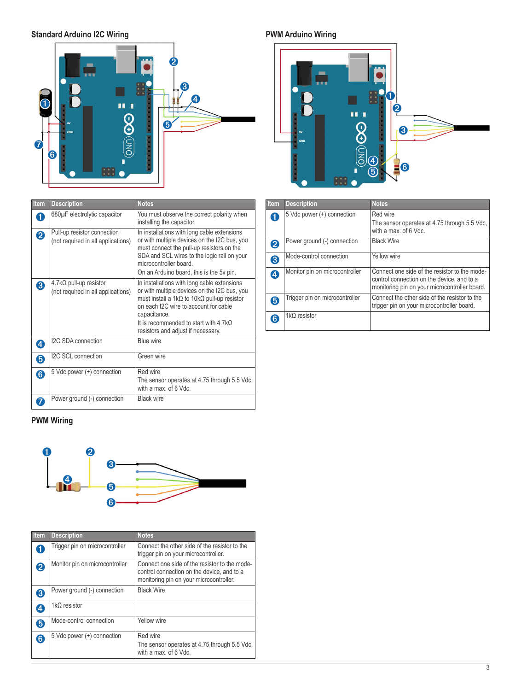<span id="page-2-0"></span>**Standard Arduino I2C Wiring**



## <span id="page-2-1"></span>**PWM Arduino Wiring**



| Item             | <b>Description</b>                                                | <b>Notes</b>                                                                                                                                                                                                                                                                                                     |
|------------------|-------------------------------------------------------------------|------------------------------------------------------------------------------------------------------------------------------------------------------------------------------------------------------------------------------------------------------------------------------------------------------------------|
| n                | 680µF electrolytic capacitor                                      | You must observe the correct polarity when<br>installing the capacitor.                                                                                                                                                                                                                                          |
| $\boldsymbol{Q}$ | Pull-up resistor connection<br>(not required in all applications) | In installations with long cable extensions<br>or with multiple devices on the I2C bus, you<br>must connect the pull-up resistors on the<br>SDA and SCL wires to the logic rail on your<br>microcontroller board<br>On an Arduino board, this is the 5v pin.                                                     |
| 3                | 4.7kΩ pull-up resistor<br>(not required in all applications)      | In installations with long cable extensions<br>or with multiple devices on the I2C bus, you<br>must install a 1k $\Omega$ to 10k $\Omega$ pull-up resistor<br>on each I2C wire to account for cable<br>capacitance.<br>It is recommended to start with $4.7\text{k}\Omega$<br>resistors and adjust if necessary. |
| 4                | I2C SDA connection                                                | Blue wire                                                                                                                                                                                                                                                                                                        |
| 6                | I2C SCL connection                                                | Green wire                                                                                                                                                                                                                                                                                                       |
| 6                | 5 Vdc power (+) connection                                        | Red wire<br>The sensor operates at 4.75 through 5.5 Vdc,<br>with a max. of 6 Vdc.                                                                                                                                                                                                                                |
|                  | Power ground (-) connection                                       | <b>Black wire</b>                                                                                                                                                                                                                                                                                                |

| <b>PWM Wiring</b> |
|-------------------|



| Item | <b>Description</b>             | <b>Notes</b>                                                                                                                           |
|------|--------------------------------|----------------------------------------------------------------------------------------------------------------------------------------|
|      | Trigger pin on microcontroller | Connect the other side of the resistor to the<br>trigger pin on your microcontroller.                                                  |
| 2    | Monitor pin on microcontroller | Connect one side of the resistor to the mode-<br>control connection on the device, and to a<br>monitoring pin on your microcontroller. |
| 3    | Power ground (-) connection    | <b>Black Wire</b>                                                                                                                      |
| 4    | $1k\Omega$ resistor            |                                                                                                                                        |
| 6    | Mode-control connection        | Yellow wire                                                                                                                            |
| 6    | 5 Vdc power (+) connection     | Red wire<br>The sensor operates at 4.75 through 5.5 Vdc,<br>with a max, of 6 Vdc.                                                      |

| <b>Item</b>      | <b>Description</b>             | <b>Notes</b>                                                                                                                                 |
|------------------|--------------------------------|----------------------------------------------------------------------------------------------------------------------------------------------|
| 0                | 5 Vdc power (+) connection     | Red wire<br>The sensor operates at 4.75 through 5.5 Vdc.                                                                                     |
|                  |                                | with a max, of 6 Vdc.                                                                                                                        |
| 2                | Power ground (-) connection    | <b>Black Wire</b>                                                                                                                            |
| 8                | Mode-control connection        | Yellow wire                                                                                                                                  |
| $\boldsymbol{c}$ | Monitor pin on microcontroller | Connect one side of the resistor to the mode-<br>control connection on the device, and to a<br>monitoring pin on your microcontroller board. |
| 6                | Trigger pin on microcontroller | Connect the other side of the resistor to the<br>trigger pin on your microcontroller board.                                                  |
| 6                | $1k\Omega$ resistor            |                                                                                                                                              |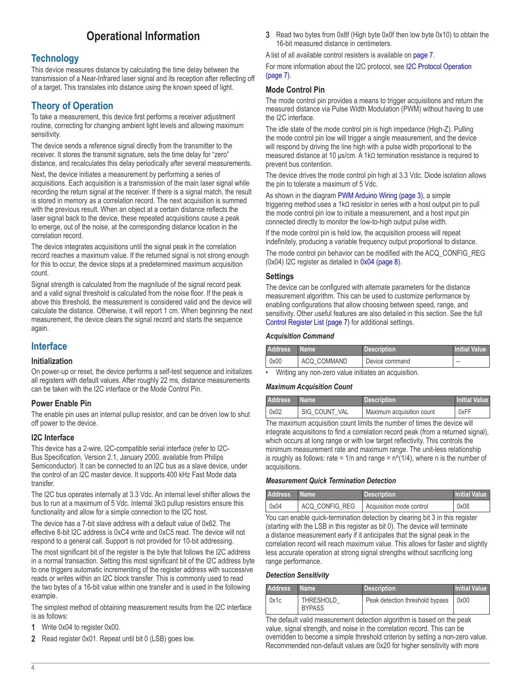## **Operational Information**

## <span id="page-3-0"></span>**Technology**

This device measures distance by calculating the time delay between the transmission of a Near-Infrared laser signal and its reception after reflecting off of a target. This translates into distance using the known speed of light.

## **Theory of Operation**

To take a measurement, this device first performs a receiver adjustment routine, correcting for changing ambient light levels and allowing maximum sensitivity.

The device sends a reference signal directly from the transmitter to the receiver. It stores the transmit signature, sets the time delay for "zero" distance, and recalculates this delay periodically after several measurements.

Next, the device initiates a measurement by performing a series of acquisitions. Each acquisition is a transmission of the main laser signal while recording the return signal at the receiver. If there is a signal match, the result is stored in memory as a correlation record. The next acquisition is summed with the previous result. When an object at a certain distance reflects the laser signal back to the device, these repeated acquisitions cause a peak to emerge, out of the noise, at the corresponding distance location in the correlation record.

The device integrates acquisitions until the signal peak in the correlation record reaches a maximum value. If the returned signal is not strong enough for this to occur, the device stops at a predetermined maximum acquisition count.

Signal strength is calculated from the magnitude of the signal record peak and a valid signal threshold is calculated from the noise floor. If the peak is above this threshold, the measurement is considered valid and the device will calculate the distance. Otherwise, it will report 1 cm. When beginning the next measurement, the device clears the signal record and starts the sequence again.

## **Interface**

#### **Initialization**

On power-up or reset, the device performs a self-test sequence and initializes all registers with default values. After roughly 22 ms, distance measurements can be taken with the I2C interface or the Mode Control Pin.

#### **Power Enable Pin**

The enable pin uses an internal pullup resistor, and can be driven low to shut off power to the device.

#### <span id="page-3-1"></span>**I2C Interface**

This device has a 2-wire, I2C-compatible serial interface (refer to I2C-Bus Specification, Version 2.1, January 2000, available from Philips Semiconductor). It can be connected to an I2C bus as a slave device, under the control of an I2C master device. It supports 400 kHz Fast Mode data transfer.

The I2C bus operates internally at 3.3 Vdc. An internal level shifter allows the bus to run at a maximum of 5 Vdc. Internal 3kΩ pullup resistors ensure this functionality and allow for a simple connection to the I2C host.

The device has a 7-bit slave address with a default value of 0x62. The effective 8-bit I2C address is 0xC4 write and 0xC5 read. The device will not respond to a general call. Support is not provided for 10-bit addressing.

The most significant bit of the register is the byte that follows the I2C address in a normal transaction. Setting this most significant bit of the I2C address byte to one triggers automatic incrementing of the register address with successive reads or writes within an I2C block transfer. This is commonly used to read the two bytes of a 16-bit value within one transfer and is used in the following example.

The simplest method of obtaining measurement results from the I2C interface is as follows:

- **1** Write 0x04 to register 0x00.
- **2** Read register 0x01. Repeat until bit 0 (LSB) goes low.

**3** Read two bytes from 0x8f (High byte 0x0f then low byte 0x10) to obtain the 16-bit measured distance in centimeters.

A list of all available control resisters is available on [page](#page-6-1) 7.

For more information about the I2C protocol, see [I2C Protocol Operation](#page-6-2)  [\(page](#page-6-2) 7).

#### <span id="page-3-2"></span>**Mode Control Pin**

The mode control pin provides a means to trigger acquisitions and return the measured distance via Pulse Width Modulation (PWM) without having to use the I2C interface.

The idle state of the mode control pin is high impedance (High-Z). Pulling the mode control pin low will trigger a single measurement, and the device will respond by driving the line high with a pulse width proportional to the measured distance at 10 μs/cm. A 1kΩ termination resistance is required to prevent bus contention.

The device drives the mode control pin high at 3.3 Vdc. Diode isolation allows the pin to tolerate a maximum of 5 Vdc.

As shown in the diagram [PWM Arduino Wiring \(page](#page-2-1) 3), a simple triggering method uses a 1kΩ resistor in series with a host output pin to pull the mode control pin low to initiate a measurement, and a host input pin connected directly to monitor the low-to-high output pulse width.

If the mode control pin is held low, the acquisition process will repeat indefinitely, producing a variable frequency output proportional to distance.

The mode control pin behavior can be modified with the ACQ\_CONFIG\_REG (0x04) I2C register as detailed in [0x04 \(page](#page-7-1) 8).

#### **Settings**

The device can be configured with alternate parameters for the distance measurement algorithm. This can be used to customize performance by enabling configurations that allow choosing between speed, range, and sensitivity. Other useful features are also detailed in this section. See the full [Control Register List \(page](#page-6-1) 7) for additional settings.

#### *Acquisition Command*

| <b>Address</b> | l Name '    | <b>Description</b> | <b>Initial Value</b> |
|----------------|-------------|--------------------|----------------------|
| 0x00           | ACQ COMMAND | Device command     | $\sim$               |
|                | $\cdots$    | $\cdots$           |                      |

• Writing any non-zero value initiates an acquisition.

#### *Maximum Acquisition Count*

| <b>Address</b> | l Name '      | <b>Description</b>        | <b>Initial Value</b> |
|----------------|---------------|---------------------------|----------------------|
| 0x02           | SIG COUNT VAL | Maximum acquisition count | 0xFF                 |

The maximum acquisition count limits the number of times the device will integrate acquisitions to find a correlation record peak (from a returned signal), which occurs at long range or with low target reflectivity. This controls the minimum measurement rate and maximum range. The unit-less relationship is roughly as follows: rate =  $1/n$  and range =  $n^2(1/4)$ , where n is the number of acquisitions.

#### *Measurement Quick Termination Detection*

| <b>Address</b> | <b>Name</b>    | Description              | <b>Initial Value</b> |
|----------------|----------------|--------------------------|----------------------|
| 0x04           | ACQ CONFIG REG | Acquisition mode control | 0x08                 |

You can enable quick-termination detection by clearing bit 3 in this register (starting with the LSB in this register as bit 0). The device will terminate a distance measurement early if it anticipates that the signal peak in the correlation record will reach maximum value. This allows for faster and slightly less accurate operation at strong signal strengths without sacrificing long range performance.

#### *Detection Sensitivity*

| <b>Address</b> | I Name '                          | <b>Description</b>              | <b>Initial Value</b> |
|----------------|-----------------------------------|---------------------------------|----------------------|
| 0x1c           | <b>THRESHOLD</b><br><b>BYPASS</b> | Peak detection threshold bypass | 0x00                 |

The default valid measurement detection algorithm is based on the peak value, signal strength, and noise in the correlation record. This can be overridden to become a simple threshold criterion by setting a non-zero value. Recommended non-default values are 0x20 for higher sensitivity with more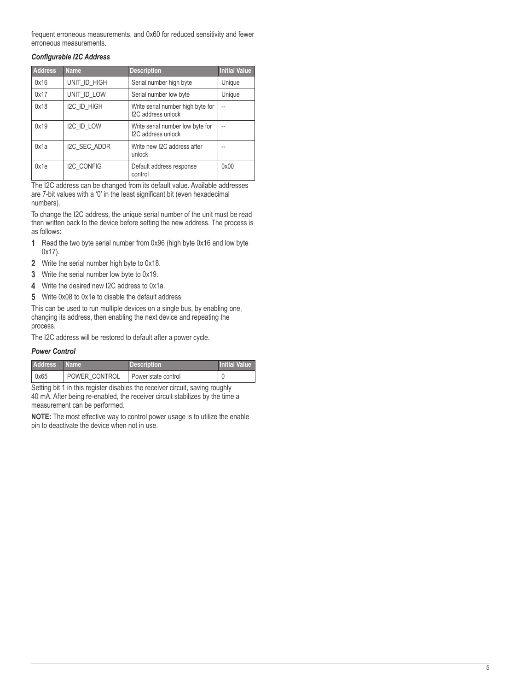frequent erroneous measurements, and 0x60 for reduced sensitivity and fewer erroneous measurements.

#### *Configurable I2C Address*

| <b>Address</b> | <b>Name</b>       | <b>Description</b>                                      | <b>Initial Value</b> |
|----------------|-------------------|---------------------------------------------------------|----------------------|
| 0x16           | UNIT ID HIGH      | Serial number high byte                                 | Unique               |
| 0x17           | UNIT ID LOW       | Serial number low byte                                  | Unique               |
| 0x18           | I2C ID HIGH       | Write serial number high byte for<br>I2C address unlock | $\overline{a}$       |
| 0x19           | I2C_ID_LOW        | Write serial number low byte for<br>I2C address unlock  |                      |
| 0x1a           | I2C SEC ADDR      | Write new I2C address after<br>unlock                   |                      |
| 0x1e           | <b>I2C CONFIG</b> | Default address response<br>control                     | 0x00                 |

The I2C address can be changed from its default value. Available addresses are 7-bit values with a '0' in the least significant bit (even hexadecimal numbers).

To change the I2C address, the unique serial number of the unit must be read then written back to the device before setting the new address. The process is as follows:

- **1** Read the two byte serial number from 0x96 (high byte 0x16 and low byte 0x17).
- **2** Write the serial number high byte to 0x18.
- **3** Write the serial number low byte to 0x19.
- **4** Write the desired new I2C address to 0x1a.
- **5** Write 0x08 to 0x1e to disable the default address.

This can be used to run multiple devices on a single bus, by enabling one, changing its address, then enabling the next device and repeating the process.

The I2C address will be restored to default after a power cycle.

#### *Power Control*

| <b>Address</b> | ∣ Name∶       | <b>Description</b>  | <b>Initial Value</b> |
|----------------|---------------|---------------------|----------------------|
| 0x65           | POWER CONTROL | Power state control |                      |

Setting bit 1 in this register disables the receiver circuit, saving roughly 40 mA. After being re-enabled, the receiver circuit stabilizes by the time a measurement can be performed.

**NOTE:** The most effective way to control power usage is to utilize the enable pin to deactivate the device when not in use.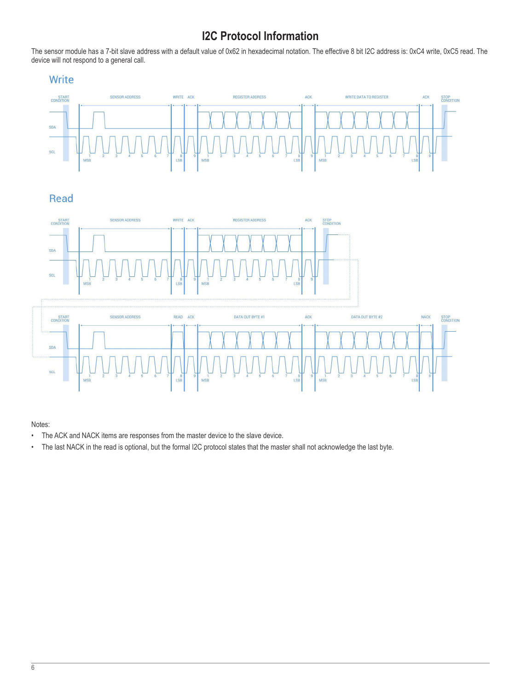## **I2C Protocol Information**

<span id="page-5-0"></span>The sensor module has a 7-bit slave address with a default value of 0x62 in hexadecimal notation. The effective 8 bit I2C address is: 0xC4 write, 0xC5 read. The device will not respond to a general call.





#### Notes:

- The ACK and NACK items are responses from the master device to the slave device.
- The last NACK in the read is optional, but the formal I2C protocol states that the master shall not acknowledge the last byte.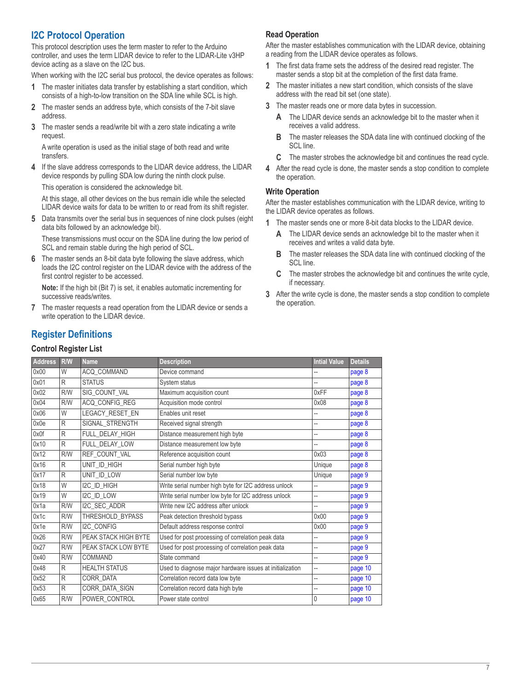## <span id="page-6-2"></span><span id="page-6-0"></span>**I2C Protocol Operation**

This protocol description uses the term master to refer to the Arduino controller, and uses the term LIDAR device to refer to the LIDAR-Lite v3HP device acting as a slave on the I2C bus.

When working with the I2C serial bus protocol, the device operates as follows:

- **1** The master initiates data transfer by establishing a start condition, which consists of a high-to-low transition on the SDA line while SCL is high.
- **2** The master sends an address byte, which consists of the 7-bit slave address.
- **3** The master sends a read/write bit with a zero state indicating a write request.

A write operation is used as the initial stage of both read and write transfers.

**4** If the slave address corresponds to the LIDAR device address, the LIDAR device responds by pulling SDA low during the ninth clock pulse. This operation is considered the acknowledge bit.

At this stage, all other devices on the bus remain idle while the selected LIDAR device waits for data to be written to or read from its shift register.

**5** Data transmits over the serial bus in sequences of nine clock pulses (eight data bits followed by an acknowledge bit).

These transmissions must occur on the SDA line during the low period of SCL and remain stable during the high period of SCL.

**6** The master sends an 8-bit data byte following the slave address, which loads the I2C control register on the LIDAR device with the address of the first control register to be accessed.

**Note:** If the high bit (Bit 7) is set, it enables automatic incrementing for successive reads/writes.

**7** The master requests a read operation from the LIDAR device or sends a write operation to the LIDAR device.

#### **Read Operation**

After the master establishes communication with the LIDAR device, obtaining a reading from the LIDAR device operates as follows.

- **1** The first data frame sets the address of the desired read register. The master sends a stop bit at the completion of the first data frame.
- **2** The master initiates a new start condition, which consists of the slave address with the read bit set (one state).
- **3** The master reads one or more data bytes in succession.
	- **A** The LIDAR device sends an acknowledge bit to the master when it receives a valid address.
	- **B** The master releases the SDA data line with continued clocking of the SCL line.
	- **C** The master strobes the acknowledge bit and continues the read cycle.
- **4** After the read cycle is done, the master sends a stop condition to complete the operation.

#### **Write Operation**

After the master establishes communication with the LIDAR device, writing to the LIDAR device operates as follows.

- **1** The master sends one or more 8-bit data blocks to the LIDAR device.
	- **A** The LIDAR device sends an acknowledge bit to the master when it receives and writes a valid data byte.
	- **B** The master releases the SDA data line with continued clocking of the SCL line.
	- **C** The master strobes the acknowledge bit and continues the write cycle, if necessary.
- **3** After the write cycle is done, the master sends a stop condition to complete the operation.

## **Register Definitions**

#### <span id="page-6-1"></span>**Control Register List**

| <b>Address</b> | R/W          | <b>Name</b>          | <b>Description</b>                                       | <b>Intial Value</b> | <b>Details</b> |
|----------------|--------------|----------------------|----------------------------------------------------------|---------------------|----------------|
| 0x00           | W            | ACQ_COMMAND          | Device command                                           | --                  | page 8         |
| 0x01           | R            | <b>STATUS</b>        | System status                                            | --                  | page 8         |
| 0x02           | R/W          | SIG COUNT VAL        | Maximum acquisition count                                | 0xFF                | page 8         |
| 0x04           | R/W          | ACQ_CONFIG_REG       | Acquisition mode control                                 | 0x08                | page 8         |
| 0x06           | W            | LEGACY_RESET_EN      | Enables unit reset                                       |                     | page 8         |
| 0x0e           | R            | SIGNAL STRENGTH      | Received signal strength                                 | --                  | page 8         |
| 0x0f           | R            | FULL_DELAY_HIGH      | Distance measurement high byte                           | --                  | page 8         |
| 0x10           | R            | FULL DELAY LOW       | Distance measurement low byte                            | --                  | page 8         |
| 0x12           | R/W          | REF COUNT VAL        | Reference acquisition count                              | 0x03                | page 8         |
| 0x16           | R            | UNIT_ID_HIGH         | Serial number high byte                                  | Unique              | page 8         |
| 0x17           | R            | UNIT_ID_LOW          | Serial number low byte                                   | Unique              | page 9         |
| 0x18           | W            | I2C_ID_HIGH          | Write serial number high byte for I2C address unlock     | --                  | page 9         |
| 0x19           | W            | I2C_ID_LOW           | Write serial number low byte for I2C address unlock      | --                  | page 9         |
| 0x1a           | R/W          | I2C SEC ADDR         | Write new I2C address after unlock                       | --                  | page 9         |
| 0x1c           | R/W          | THRESHOLD BYPASS     | Peak detection threshold bypass                          | 0x00                | page 9         |
| 0x1e           | R/W          | <b>I2C CONFIG</b>    | Default address response control                         | 0x00                | page 9         |
| 0x26           | R/W          | PEAK STACK HIGH BYTE | Used for post processing of correlation peak data        | --                  | page 9         |
| 0x27           | <b>R/W</b>   | PEAK STACK LOW BYTE  | Used for post processing of correlation peak data        | --                  | page 9         |
| 0x40           | R/W          | COMMAND              | State command                                            | --                  | page 9         |
| 0x48           | R            | <b>HEALTH STATUS</b> | Used to diagnose major hardware issues at initialization | --                  | page 10        |
| 0x52           | $\mathsf{R}$ | CORR DATA            | Correlation record data low byte                         | --                  | page 10        |
| 0x53           | R            | CORR DATA SIGN       | Correlation record data high byte                        | --                  | page 10        |
| 0x65           | R/W          | POWER_CONTROL        | Power state control                                      | 0                   | page 10        |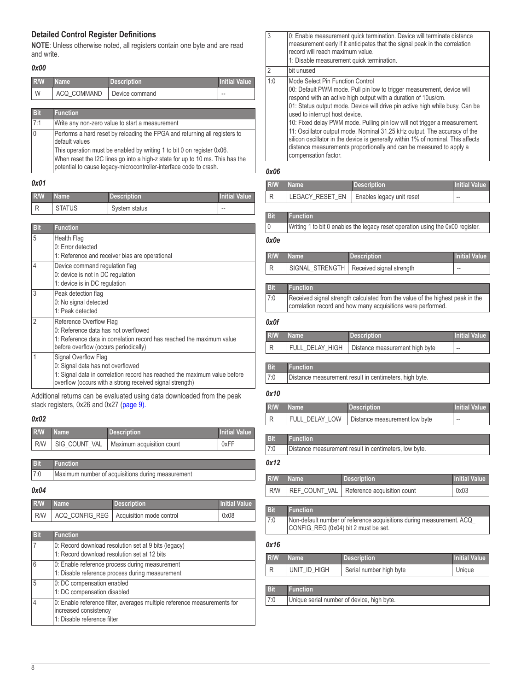#### <span id="page-7-0"></span>**Detailed Control Register Definitions**

**NOTE**: Unless otherwise noted, all registers contain one byte and are read and write.

#### <span id="page-7-2"></span>*0x00*

| R/W        | <b>Name</b>                                     | <b>Description</b> | Initial Value |
|------------|-------------------------------------------------|--------------------|---------------|
| W          | ACQ COMMAND                                     | Device command     |               |
|            |                                                 |                    |               |
| <b>Bit</b> | <b>Function</b>                                 |                    |               |
| 7.1        | Write any non-zero value to start a measurement |                    |               |

0 Performs a hard reset by reloading the FPGA and returning all registers to default values This operation must be enabled by writing 1 to bit 0 on register 0x06. When reset the I2C lines go into a high-z state for up to 10 ms. This has the potential to cause legacy-microcontroller-interface code to crash.

#### <span id="page-7-3"></span>*0x01*

| R/W | <b>Name</b>   | Description   | <b>Initial Value</b> |
|-----|---------------|---------------|----------------------|
|     | <b>STATUS</b> | System status | $\sim$               |

| <b>Bit</b>     | <b>Function</b>                                                                                                                                                                                    |
|----------------|----------------------------------------------------------------------------------------------------------------------------------------------------------------------------------------------------|
| 5              | Health Flag<br>0 <sup>-</sup> Error detected<br>1: Reference and receiver bias are operational                                                                                                     |
| 4              | Device command regulation flag<br>0: device is not in DC regulation<br>1: device is in DC regulation                                                                                               |
| 3              | Peak detection flag<br>0: No signal detected<br>1: Peak detected                                                                                                                                   |
| $\mathfrak{D}$ | Reference Overflow Flag<br>0: Reference data has not overflowed<br>1: Reference data in correlation record has reached the maximum value<br>before overflow (occurs periodically)                  |
| 1              | Signal Overflow Flag<br>0: Signal data has not overflowed<br>1: Signal data in correlation record has reached the maximum value before<br>overflow (occurs with a strong received signal strength) |

Additional returns can be evaluated using data downloaded from the peak stack registers, 0x26 and 0x27 ([page](#page-8-6) 9).

#### <span id="page-7-4"></span>*0x02*

| R/W Name | Description                                     | <b>Initial Value</b> |
|----------|-------------------------------------------------|----------------------|
|          | R/W   SIG_COUNT_VAL   Maximum acquisition count | 0xFF                 |

| <b>Bit</b> | Function                                          |
|------------|---------------------------------------------------|
| 7:0        | Maximum number of acquisitions during measurement |

#### <span id="page-7-1"></span>*0x04*

| <b>R/W</b> | Name | <b>Description</b>                              | <b>Initial Value</b> |
|------------|------|-------------------------------------------------|----------------------|
|            |      | R/W   ACQ_CONFIG_REG   Acquisition mode control | 0x08                 |

| Bit | <b>Function</b>                                                                                                                  |
|-----|----------------------------------------------------------------------------------------------------------------------------------|
|     | 0: Record download resolution set at 9 bits (legacy)<br>1: Record download resolution set at 12 bits                             |
| 6   | 0: Enable reference process during measurement<br>1: Disable reference process during measurement                                |
| 5   | 0: DC compensation enabled<br>1: DC compensation disabled                                                                        |
|     | 0: Enable reference filter, averages multiple reference measurements for<br>increased consistency<br>1: Disable reference filter |

| $\overline{3}$ | 0: Enable measurement quick termination. Device will terminate distance<br>measurement early if it anticipates that the signal peak in the correlation<br>record will reach maximum value.<br>1: Disable measurement quick termination.                                                                                                                                                                                                                                                                                                                                                                                                     |
|----------------|---------------------------------------------------------------------------------------------------------------------------------------------------------------------------------------------------------------------------------------------------------------------------------------------------------------------------------------------------------------------------------------------------------------------------------------------------------------------------------------------------------------------------------------------------------------------------------------------------------------------------------------------|
| $\overline{2}$ | bit unused                                                                                                                                                                                                                                                                                                                                                                                                                                                                                                                                                                                                                                  |
| 1:0            | Mode Select Pin Function Control<br>00: Default PWM mode. Pull pin low to trigger measurement, device will<br>respond with an active high output with a duration of 10us/cm.<br>01: Status output mode. Device will drive pin active high while busy. Can be<br>used to interrupt host device.<br>10: Fixed delay PWM mode. Pulling pin low will not trigger a measurement.<br>11: Oscillator output mode. Nominal 31.25 kHz output. The accuracy of the<br>silicon oscillator in the device is generally within 1% of nominal. This affects<br>distance measurements proportionally and can be measured to apply a<br>compensation factor. |
|                |                                                                                                                                                                                                                                                                                                                                                                                                                                                                                                                                                                                                                                             |

#### <span id="page-7-5"></span>*0x06*

| R/W Name | <b>Description</b>                          | <b>Initial Value</b> |
|----------|---------------------------------------------|----------------------|
|          | LEGACY_RESET_EN   Enables legacy unit reset | $\sim$               |

#### **Bit Function**

| Writing 1 to bit 0 enables the legacy reset operation using the 0x00 register. |
|--------------------------------------------------------------------------------|

#### <span id="page-7-6"></span>*0x0e*

| R/W Name | <b>Description</b>                         | <b>Initial Value</b> |
|----------|--------------------------------------------|----------------------|
| l R      | SIGNAL_STRENGTH   Received signal strength | $\sim$               |

#### **Bit Function** 7:0 Received signal strength calculated from the value of the highest peak in the correlation record and how many acquisitions were performed.

#### <span id="page-7-7"></span>*0x0f*

| R/W | l Name ' | <b>Description</b>                               | <b>Initial Value</b> |
|-----|----------|--------------------------------------------------|----------------------|
|     |          | FULL_DELAY_HIGH   Distance measurement high byte | $- -$                |

#### **Bit Function** 7:0 Distance measurement result in centimeters, high byte.

#### <span id="page-7-8"></span>*0x10*

| <b>R/W</b> | Mame ! | <b>Description</b>                             | <b>Initial Value</b> |
|------------|--------|------------------------------------------------|----------------------|
|            |        | FULL DELAY_LOW   Distance measurement low byte | $\sim$               |

#### <span id="page-7-9"></span>7:0 Distance measurement result in centimeters, low byte. *0x12*

**Bit Function**

| R/W Name | <b>Description</b>                                | <b>Initial Value</b> |
|----------|---------------------------------------------------|----------------------|
|          | R/W   REF_COUNT_VAL   Reference acquisition count | 0x03                 |

| <b>Bit</b> | <b>Function</b>                                                                                              |
|------------|--------------------------------------------------------------------------------------------------------------|
| 7:0        | Non-default number of reference acquisitions during measurement. ACQ<br>CONFIG_REG (0x04) bit 2 must be set. |

#### <span id="page-7-10"></span>*0x16*

| R/W        | <b>Name</b>     | <b>Description</b>      | <b>Initial Value</b> |
|------------|-----------------|-------------------------|----------------------|
| l R        | UNIT_ID_HIGH    | Serial number high byte | Unique               |
|            |                 |                         |                      |
| <b>Bit</b> | <b>Function</b> |                         |                      |

7:0 Unique serial number of device, high byte.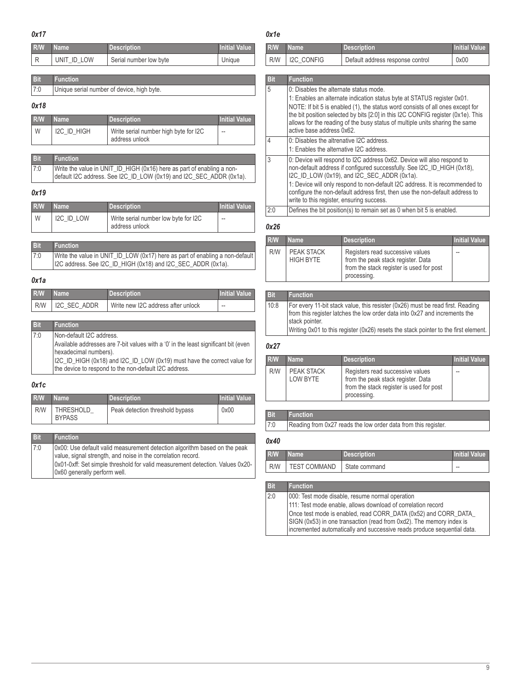<span id="page-8-6"></span><span id="page-8-5"></span>

<span id="page-8-2"></span><span id="page-8-1"></span><span id="page-8-0"></span>

| 0x17                      |                                                   |                                                                                                                                               |                          | 0x1e              |                                                                                                                                                                                                                                                                       |                                                                                                                                                                                                                                                                                                                                                                   |                      |
|---------------------------|---------------------------------------------------|-----------------------------------------------------------------------------------------------------------------------------------------------|--------------------------|-------------------|-----------------------------------------------------------------------------------------------------------------------------------------------------------------------------------------------------------------------------------------------------------------------|-------------------------------------------------------------------------------------------------------------------------------------------------------------------------------------------------------------------------------------------------------------------------------------------------------------------------------------------------------------------|----------------------|
| R/W                       | <b>Name</b>                                       | <b>Description</b>                                                                                                                            | <b>Initial Value</b>     | R/W               | <b>Name</b>                                                                                                                                                                                                                                                           | <b>Description</b>                                                                                                                                                                                                                                                                                                                                                | <b>Initial Value</b> |
| R                         | UNIT ID LOW                                       | Serial number low byte                                                                                                                        | Unique                   | R/W               | <b>I2C CONFIG</b>                                                                                                                                                                                                                                                     | Default address response control                                                                                                                                                                                                                                                                                                                                  | 0x00                 |
| <b>Bit</b>                | <b>Function</b>                                   |                                                                                                                                               |                          | <b>Bit</b>        | <b>Function</b>                                                                                                                                                                                                                                                       |                                                                                                                                                                                                                                                                                                                                                                   |                      |
| 7:0<br>0x18               |                                                   | Unique serial number of device, high byte.                                                                                                    |                          | 5                 | 0: Disables the alternate status mode.                                                                                                                                                                                                                                | 1: Enables an alternate indication status byte at STATUS register 0x01.<br>NOTE: If bit 5 is enabled (1), the status word consists of all ones except for                                                                                                                                                                                                         |                      |
| R/W<br>W                  | <b>Name</b><br>I2C ID HIGH                        | <b>Description</b><br>Write serial number high byte for I2C                                                                                   | <b>Initial Value</b>     |                   | active base address 0x62.                                                                                                                                                                                                                                             | the bit position selected by bits [2:0] in this I2C CONFIG register (0x1e). This<br>allows for the reading of the busy status of multiple units sharing the same                                                                                                                                                                                                  |                      |
|                           |                                                   | address unlock                                                                                                                                |                          | 4                 | 0: Disables the altrenative I2C address.<br>1: Enables the alternative I2C address.                                                                                                                                                                                   |                                                                                                                                                                                                                                                                                                                                                                   |                      |
| <b>Bit</b><br>7:0<br>0x19 | <b>Function</b>                                   | Write the value in UNIT_ID_HIGH (0x16) here as part of enabling a non-<br>default I2C address. See I2C_ID_LOW (0x19) and I2C_SEC_ADDR (0x1a). |                          | 3                 |                                                                                                                                                                                                                                                                       | 0: Device will respond to I2C address 0x62. Device will also respond to<br>non-default address if configured successfully. See I2C_ID_HIGH (0x18),<br>I2C_ID_LOW (0x19), and I2C_SEC_ADDR (0x1a).<br>1: Device will only respond to non-default I2C address. It is recommended to<br>configure the non-default address first, then use the non-default address to |                      |
| R/W                       | <b>Name</b>                                       | <b>Description</b>                                                                                                                            | <b>Initial Value</b>     | 2:0               | write to this register, ensuring success.                                                                                                                                                                                                                             | Defines the bit position(s) to remain set as 0 when bit 5 is enabled.                                                                                                                                                                                                                                                                                             |                      |
| W                         | I2C_ID_LOW                                        | Write serial number low byte for I2C<br>address unlock                                                                                        | $\overline{\phantom{a}}$ | 0x26              |                                                                                                                                                                                                                                                                       |                                                                                                                                                                                                                                                                                                                                                                   |                      |
| <b>Bit</b>                | <b>Function</b>                                   |                                                                                                                                               |                          | R/W               | <b>Name</b>                                                                                                                                                                                                                                                           | <b>Description</b>                                                                                                                                                                                                                                                                                                                                                | <b>Initial Value</b> |
| 7:0                       |                                                   | Write the value in UNIT_ID_LOW (0x17) here as part of enabling a non-default<br>I2C address. See I2C_ID_HIGH (0x18) and I2C_SEC_ADDR (0x1a).  |                          | R/W               | PEAK STACK<br><b>HIGH BYTE</b>                                                                                                                                                                                                                                        | Registers read successive values<br>from the peak stack register. Data<br>from the stack register is used for post<br>processing.                                                                                                                                                                                                                                 |                      |
| 0x1a                      |                                                   |                                                                                                                                               |                          |                   |                                                                                                                                                                                                                                                                       |                                                                                                                                                                                                                                                                                                                                                                   |                      |
| R/W                       | <b>Name</b>                                       | <b>Description</b>                                                                                                                            | <b>Initial Value</b>     | <b>Bit</b>        | <b>Function</b>                                                                                                                                                                                                                                                       |                                                                                                                                                                                                                                                                                                                                                                   |                      |
| R/W<br><b>Bit</b>         | I2C SEC ADDR<br><b>Function</b>                   | Write new I2C address after unlock                                                                                                            | $\overline{a}$           | 10:8              | For every 11-bit stack value, this resister (0x26) must be read first. Reading<br>from this register latches the low order data into 0x27 and increments the<br>stack pointer.<br>Writing 0x01 to this register (0x26) resets the stack pointer to the first element. |                                                                                                                                                                                                                                                                                                                                                                   |                      |
| 7:0                       | Non-default I2C address.<br>hexadecimal numbers). | Available addresses are 7-bit values with a '0' in the least significant bit (even                                                            |                          | 0x27              |                                                                                                                                                                                                                                                                       |                                                                                                                                                                                                                                                                                                                                                                   |                      |
|                           |                                                   | I2C_ID_HIGH (0x18) and I2C_ID_LOW (0x19) must have the correct value for<br>the device to respond to the non-default I2C address.             |                          | R/W<br>R/W        | <b>Name</b><br><b>PEAK STACK</b>                                                                                                                                                                                                                                      | <b>Description</b><br>Registers read successive values                                                                                                                                                                                                                                                                                                            | <b>Initial Value</b> |
| 0x1c                      |                                                   |                                                                                                                                               |                          |                   | <b>LOW BYTE</b>                                                                                                                                                                                                                                                       | from the peak stack register. Data<br>from the stack register is used for post                                                                                                                                                                                                                                                                                    |                      |
| R/W                       | <b>Name</b>                                       | <b>Description</b>                                                                                                                            | <b>Initial Value</b>     |                   |                                                                                                                                                                                                                                                                       | processing.                                                                                                                                                                                                                                                                                                                                                       |                      |
| R/W                       | THRESHOLD<br><b>BYPASS</b>                        | Peak detection threshold bypass                                                                                                               | 0x00                     | <b>Bit</b><br>7:0 | <b>Function</b>                                                                                                                                                                                                                                                       | Reading from 0x27 reads the low order data from this register.                                                                                                                                                                                                                                                                                                    |                      |
| <b>Bit</b>                | <b>Function</b>                                   |                                                                                                                                               |                          | 0x40              |                                                                                                                                                                                                                                                                       |                                                                                                                                                                                                                                                                                                                                                                   |                      |
| 7:0                       |                                                   | 0x00: Use default valid measurement detection algorithm based on the peak                                                                     |                          | R/W               |                                                                                                                                                                                                                                                                       | <b>Description</b>                                                                                                                                                                                                                                                                                                                                                | <b>Initial Value</b> |
|                           |                                                   | value, signal strength, and noise in the correlation record.<br>0x01-0xff: Set simple threshold for valid measurement detection. Values 0x20- |                          | R/W               | <b>Name</b><br><b>TEST COMMAND</b>                                                                                                                                                                                                                                    | State command                                                                                                                                                                                                                                                                                                                                                     | $\overline{a}$       |
|                           | $0.60$ generally neglector unall                  |                                                                                                                                               |                          |                   |                                                                                                                                                                                                                                                                       |                                                                                                                                                                                                                                                                                                                                                                   |                      |

<span id="page-8-8"></span><span id="page-8-7"></span>**Bit Function**

2:0 000: Test mode disable, resume normal operation

111: Test mode enable, allows download of correlation record

Once test mode is enabled, read CORR\_DATA (0x52) and CORR\_DATA\_ SIGN (0x53) in one transaction (read from 0xd2). The memory index is incremented automatically and successive reads produce sequential data.

<span id="page-8-4"></span><span id="page-8-3"></span>0x60 generally perform well.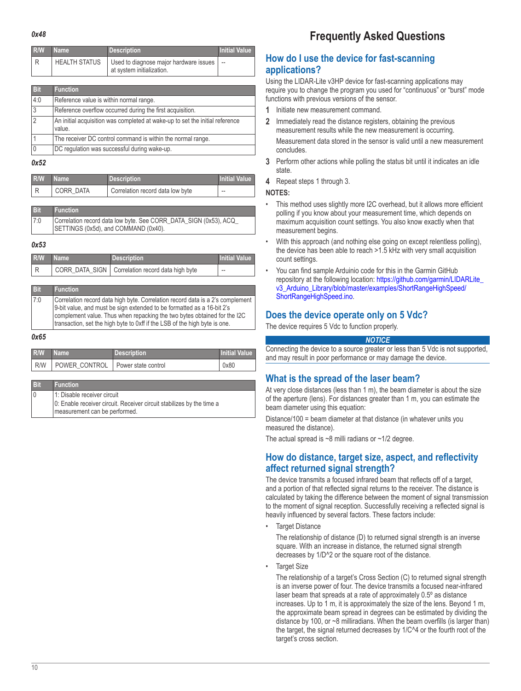<span id="page-9-1"></span><span id="page-9-0"></span>

| R/W | <b>Name</b>          | <b>Description</b>                                                  | <b>Initial Value</b> |
|-----|----------------------|---------------------------------------------------------------------|----------------------|
|     | <b>HEALTH STATUS</b> | Used to diagnose major hardware issues<br>at system initialization. | $\sim$               |

| <b>Bit</b>     | <b>Function</b>                                                                        |
|----------------|----------------------------------------------------------------------------------------|
| 4:0            | Reference value is within normal range.                                                |
| 3              | Reference overflow occurred during the first acquisition.                              |
| $\overline{2}$ | An initial acquisition was completed at wake-up to set the initial reference<br>value. |
|                | The receiver DC control command is within the normal range.                            |
|                | DC regulation was successful during wake-up.                                           |

#### <span id="page-9-2"></span>*0x52*

| R/W | <b>Name</b> | <b>Description</b>               | <b>Initial Value</b> |
|-----|-------------|----------------------------------|----------------------|
|     | CORR DATA   | Correlation record data low byte | $-$                  |

| <b>Bit</b> | <b>Function</b>                                                                                          |
|------------|----------------------------------------------------------------------------------------------------------|
| 7:0        | Correlation record data low byte. See CORR_DATA_SIGN (0x53), ACQ<br>SETTINGS (0x5d), and COMMAND (0x40). |

#### <span id="page-9-3"></span>*0x53*

| R/W | l Name I | Description                                        | <b>Initial Value</b> |
|-----|----------|----------------------------------------------------|----------------------|
|     |          | CORR DATA_SIGN   Correlation record data high byte | $- -$                |

| <b>Bit</b> | <b>Function</b>                                                                                                                                                                                                                                                                                                    |
|------------|--------------------------------------------------------------------------------------------------------------------------------------------------------------------------------------------------------------------------------------------------------------------------------------------------------------------|
| 7:0        | Correlation record data high byte. Correlation record data is a 2's complement<br>9-bit value, and must be sign extended to be formatted as a 16-bit 2's<br>complement value. Thus when repacking the two bytes obtained for the I2C<br>transaction, set the high byte to 0xff if the LSB of the high byte is one. |

#### <span id="page-9-4"></span>*0x65*

| R/W | Name <sup>1</sup>                   | <b>Description</b> | <b>Initial Value</b> |
|-----|-------------------------------------|--------------------|----------------------|
| R/W | POWER CONTROL   Power state control |                    | 0x80                 |

| $B$ if         | <b>Function</b>                                                       |
|----------------|-----------------------------------------------------------------------|
| $\overline{0}$ | 1: Disable receiver circuit                                           |
|                | 0: Enable receiver circuit. Receiver circuit stabilizes by the time a |
|                | measurement can be performed.                                         |

# **Frequently Asked Questions**

## **How do I use the device for fast-scanning applications?**

Using the LIDAR-Lite v3HP device for fast-scanning applications may require you to change the program you used for "continuous" or "burst" mode functions with previous versions of the sensor.

- **1** Initiate new measurement command.
- **2** Immediately read the distance registers, obtaining the previous measurement results while the new measurement is occurring. Measurement data stored in the sensor is valid until a new measurement concludes.
- **3** Perform other actions while polling the status bit until it indicates an idle state.
- **4** Repeat steps 1 through 3.

#### **NOTES:**

- This method uses slightly more I2C overhead, but it allows more efficient polling if you know about your measurement time, which depends on maximum acquisition count settings. You also know exactly when that measurement begins.
- With this approach (and nothing else going on except relentless polling), the device has been able to reach >1.5 kHz with very small acquisition count settings.
- You can find sample Arduinio code for this in the Garmin GitHub repository at the following location: [https://github.com/garmin/LIDARLite\\_](https://github.com/garmin/LIDARLite_v3_Arduino_Library/blob/master/examples/ShortRangeHighSpeed/ShortRangeHighSpeed.ino) [v3\\_Arduino\\_Library/blob/master/examples/ShortRangeHighSpeed/](https://github.com/garmin/LIDARLite_v3_Arduino_Library/blob/master/examples/ShortRangeHighSpeed/ShortRangeHighSpeed.ino) [ShortRangeHighSpeed.ino.](https://github.com/garmin/LIDARLite_v3_Arduino_Library/blob/master/examples/ShortRangeHighSpeed/ShortRangeHighSpeed.ino)

## **Does the device operate only on 5 Vdc?**

The device requires 5 Vdc to function properly.

#### *NOTICE*

Connecting the device to a source greater or less than 5 Vdc is not supported, and may result in poor performance or may damage the device.

## **What is the spread of the laser beam?**

At very close distances (less than 1 m), the beam diameter is about the size of the aperture (lens). For distances greater than 1 m, you can estimate the beam diameter using this equation:

Distance/100 = beam diameter at that distance (in whatever units you measured the distance).

The actual spread is  $~8$  milli radians or  $~1/2$  degree.

## **How do distance, target size, aspect, and reflectivity affect returned signal strength?**

The device transmits a focused infrared beam that reflects off of a target, and a portion of that reflected signal returns to the receiver. The distance is calculated by taking the difference between the moment of signal transmission to the moment of signal reception. Successfully receiving a reflected signal is heavily influenced by several factors. These factors include:

**Target Distance** 

The relationship of distance (D) to returned signal strength is an inverse square. With an increase in distance, the returned signal strength decreases by 1/D^2 or the square root of the distance.

• Target Size

The relationship of a target's Cross Section (C) to returned signal strength is an inverse power of four. The device transmits a focused near-infrared laser beam that spreads at a rate of approximately 0.5º as distance increases. Up to 1 m, it is approximately the size of the lens. Beyond 1 m, the approximate beam spread in degrees can be estimated by dividing the distance by 100, or ~8 milliradians. When the beam overfills (is larger than) the target, the signal returned decreases by 1/C^4 or the fourth root of the target's cross section.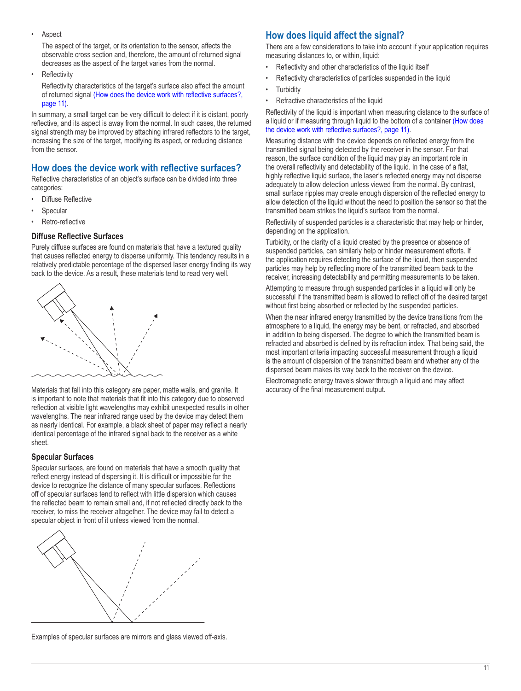<span id="page-10-0"></span>**Aspect** 

The aspect of the target, or its orientation to the sensor, affects the observable cross section and, therefore, the amount of returned signal decreases as the aspect of the target varies from the normal.

**Reflectivity** 

Reflectivity characteristics of the target's surface also affect the amount of returned signal [\(How does the device work with reflective surfaces?,](#page-10-1)  [page](#page-10-1) 11).

In summary, a small target can be very difficult to detect if it is distant, poorly reflective, and its aspect is away from the normal. In such cases, the returned signal strength may be improved by attaching infrared reflectors to the target, increasing the size of the target, modifying its aspect, or reducing distance from the sensor.

## <span id="page-10-1"></span>**How does the device work with reflective surfaces?**

Reflective characteristics of an object's surface can be divided into three categories:

- Diffuse Reflective
- **Specular**
- Retro-reflective

#### **Diffuse Reflective Surfaces**

Purely diffuse surfaces are found on materials that have a textured quality that causes reflected energy to disperse uniformly. This tendency results in a relatively predictable percentage of the dispersed laser energy finding its way back to the device. As a result, these materials tend to read very well.



Materials that fall into this category are paper, matte walls, and granite. It is important to note that materials that fit into this category due to observed reflection at visible light wavelengths may exhibit unexpected results in other wavelengths. The near infrared range used by the device may detect them as nearly identical. For example, a black sheet of paper may reflect a nearly identical percentage of the infrared signal back to the receiver as a white sheet.

#### **Specular Surfaces**

Specular surfaces, are found on materials that have a smooth quality that reflect energy instead of dispersing it. It is difficult or impossible for the device to recognize the distance of many specular surfaces. Reflections off of specular surfaces tend to reflect with little dispersion which causes the reflected beam to remain small and, if not reflected directly back to the receiver, to miss the receiver altogether. The device may fail to detect a specular object in front of it unless viewed from the normal.



Examples of specular surfaces are mirrors and glass viewed off-axis.

## **How does liquid affect the signal?**

There are a few considerations to take into account if your application requires measuring distances to, or within, liquid:

- Reflectivity and other characteristics of the liquid itself
- Reflectivity characteristics of particles suspended in the liquid
- **Turbidity**
- Refractive characteristics of the liquid

Reflectivity of the liquid is important when measuring distance to the surface of a liquid or if measuring through liquid to the bottom of a container [\(How does](#page-10-1)  [the device work with reflective surfaces?, page](#page-10-1) 11).

Measuring distance with the device depends on reflected energy from the transmitted signal being detected by the receiver in the sensor. For that reason, the surface condition of the liquid may play an important role in the overall reflectivity and detectability of the liquid. In the case of a flat, highly reflective liquid surface, the laser's reflected energy may not disperse adequately to allow detection unless viewed from the normal. By contrast, small surface ripples may create enough dispersion of the reflected energy to allow detection of the liquid without the need to position the sensor so that the transmitted beam strikes the liquid's surface from the normal.

Reflectivity of suspended particles is a characteristic that may help or hinder, depending on the application.

Turbidity, or the clarity of a liquid created by the presence or absence of suspended particles, can similarly help or hinder measurement efforts. If the application requires detecting the surface of the liquid, then suspended particles may help by reflecting more of the transmitted beam back to the receiver, increasing detectability and permitting measurements to be taken.

Attempting to measure through suspended particles in a liquid will only be successful if the transmitted beam is allowed to reflect off of the desired target without first being absorbed or reflected by the suspended particles.

When the near infrared energy transmitted by the device transitions from the atmosphere to a liquid, the energy may be bent, or refracted, and absorbed in addition to being dispersed. The degree to which the transmitted beam is refracted and absorbed is defined by its refraction index. That being said, the most important criteria impacting successful measurement through a liquid is the amount of dispersion of the transmitted beam and whether any of the dispersed beam makes its way back to the receiver on the device.

Electromagnetic energy travels slower through a liquid and may affect accuracy of the final measurement output.